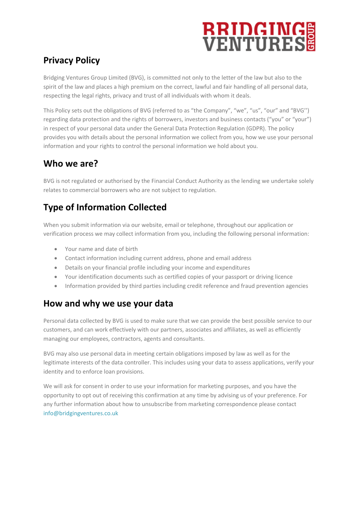# **RRIDGINGS**

## **Privacy Policy**

Bridging Ventures Group Limited (BVG), is committed not only to the letter of the law but also to the spirit of the law and places a high premium on the correct, lawful and fair handling of all personal data, respecting the legal rights, privacy and trust of all individuals with whom it deals.

This Policy sets out the obligations of BVG (referred to as "the Company", "we", "us", "our" and "BVG'') regarding data protection and the rights of borrowers, investors and business contacts ("you" or "your") in respect of your personal data under the General Data Protection Regulation (GDPR). The policy provides you with details about the personal information we collect from you, how we use your personal information and your rights to control the personal information we hold about you.

#### **Who we are?**

BVG is not regulated or authorised by the Financial Conduct Authority as the lending we undertake solely relates to commercial borrowers who are not subject to regulation.

# **Type of Information Collected**

When you submit information via our website, email or telephone, throughout our application or verification process we may collect information from you, including the following personal information:

- Your name and date of birth
- Contact information including current address, phone and email address
- Details on your financial profile including your income and expenditures
- Your identification documents such as certified copies of your passport or driving licence
- Information provided by third parties including credit reference and fraud prevention agencies

### **How and why we use your data**

Personal data collected by BVG is used to make sure that we can provide the best possible service to our customers, and can work effectively with our partners, associates and affiliates, as well as efficiently managing our employees, contractors, agents and consultants.

BVG may also use personal data in meeting certain obligations imposed by law as well as for the legitimate interests of the data controller. This includes using your data to assess applications, verify your identity and to enforce loan provisions.

We will ask for consent in order to use your information for marketing purposes, and you have the opportunity to opt out of receiving this confirmation at any time by advising us of your preference. For any further information about how to unsubscribe from marketing correspondence please contact [info@bridgingventures.co.uk](mailto:info@bridgingventures.co.uk)